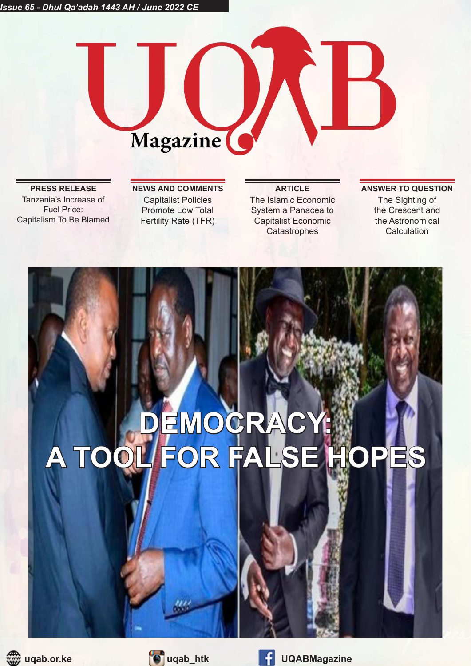# Magazine

Tanzania's Increase of Fuel Price: Capitalism To Be Blamed

Capitalist Policies Promote Low Total Fertility Rate (TFR)

The Islamic Economic System a Panacea to Capitalist Economic **Catastrophes** 

### **PRESS RELEASE NEWS AND COMMENTS ARTICLE ANSWER TO QUESTION** The Sighting of the Crescent and the Astronomical

**Calculation** 

**DEMOCRACY: A TOOL FOR FALSE HOPES**



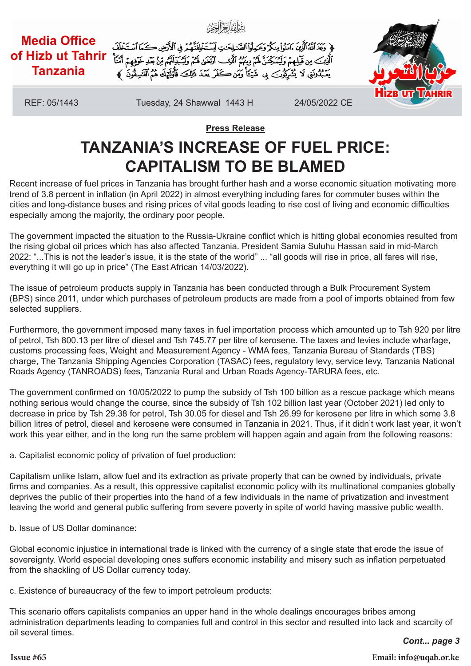

**Press Release**

# **TANZANIA'S INCREASE OF FUEL PRICE: CAPITALISM TO BE BLAMED**

Recent increase of fuel prices in Tanzania has brought further hash and a worse economic situation motivating more trend of 3.8 percent in inflation (in April 2022) in almost everything including fares for commuter buses within the cities and long-distance buses and rising prices of vital goods leading to rise cost of living and economic difficulties especially among the majority, the ordinary poor people.

The government impacted the situation to the Russia-Ukraine conflict which is hitting global economies resulted from the rising global oil prices which has also affected Tanzania. President Samia Suluhu Hassan said in mid-March 2022: "...This is not the leader's issue, it is the state of the world" ... "all goods will rise in price, all fares will rise, everything it will go up in price" (The East African 14/03/2022).

The issue of petroleum products supply in Tanzania has been conducted through a Bulk Procurement System (BPS) since 2011, under which purchases of petroleum products are made from a pool of imports obtained from few selected suppliers.

Furthermore, the government imposed many taxes in fuel importation process which amounted up to Tsh 920 per litre of petrol, Tsh 800.13 per litre of diesel and Tsh 745.77 per litre of kerosene. The taxes and levies include wharfage, customs processing fees, Weight and Measurement Agency - WMA fees, Tanzania Bureau of Standards (TBS) charge, The Tanzania Shipping Agencies Corporation (TASAC) fees, regulatory levy, service levy, Tanzania National Roads Agency (TANROADS) fees, Tanzania Rural and Urban Roads Agency-TARURA fees, etc.

The government confirmed on 10/05/2022 to pump the subsidy of Tsh 100 billion as a rescue package which means nothing serious would change the course, since the subsidy of Tsh 102 billion last year (October 2021) led only to decrease in price by Tsh 29.38 for petrol, Tsh 30.05 for diesel and Tsh 26.99 for kerosene per litre in which some 3.8 billion litres of petrol, diesel and kerosene were consumed in Tanzania in 2021. Thus, if it didn't work last year, it won't work this year either, and in the long run the same problem will happen again and again from the following reasons:

a. Capitalist economic policy of privation of fuel production:

Capitalism unlike Islam, allow fuel and its extraction as private property that can be owned by individuals, private firms and companies. As a result, this oppressive capitalist economic policy with its multinational companies globally deprives the public of their properties into the hand of a few individuals in the name of privatization and investment leaving the world and general public suffering from severe poverty in spite of world having massive public wealth.

b. Issue of US Dollar dominance:

Global economic injustice in international trade is linked with the currency of a single state that erode the issue of sovereignty. World especial developing ones suffers economic instability and misery such as inflation perpetuated from the shackling of US Dollar currency today.

c. Existence of bureaucracy of the few to import petroleum products:

This scenario offers capitalists companies an upper hand in the whole dealings encourages bribes among administration departments leading to companies full and control in this sector and resulted into lack and scarcity of oil several times.

*Cont... page 3*

**Issue #65 Email: info@uqab.or.ke**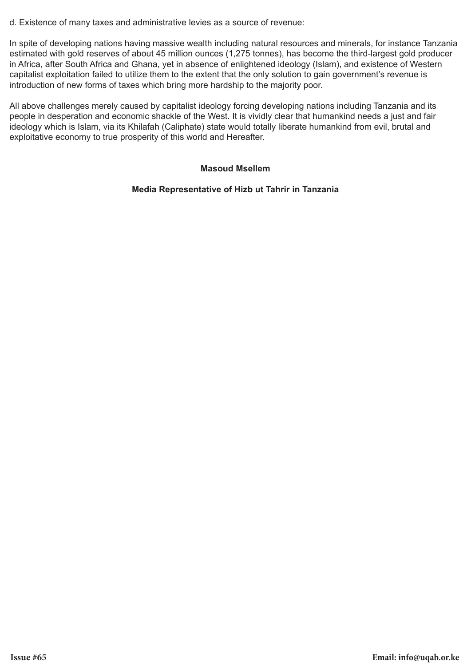d. Existence of many taxes and administrative levies as a source of revenue:

In spite of developing nations having massive wealth including natural resources and minerals, for instance Tanzania estimated with gold reserves of about 45 million ounces (1,275 tonnes), has become the third-largest gold producer in Africa, after South Africa and Ghana, yet in absence of enlightened ideology (Islam), and existence of Western capitalist exploitation failed to utilize them to the extent that the only solution to gain government's revenue is introduction of new forms of taxes which bring more hardship to the majority poor.

All above challenges merely caused by capitalist ideology forcing developing nations including Tanzania and its people in desperation and economic shackle of the West. It is vividly clear that humankind needs a just and fair ideology which is Islam, via its Khilafah (Caliphate) state would totally liberate humankind from evil, brutal and exploitative economy to true prosperity of this world and Hereafter.

### **Masoud Msellem**

### **Media Representative of Hizb ut Tahrir in Tanzania**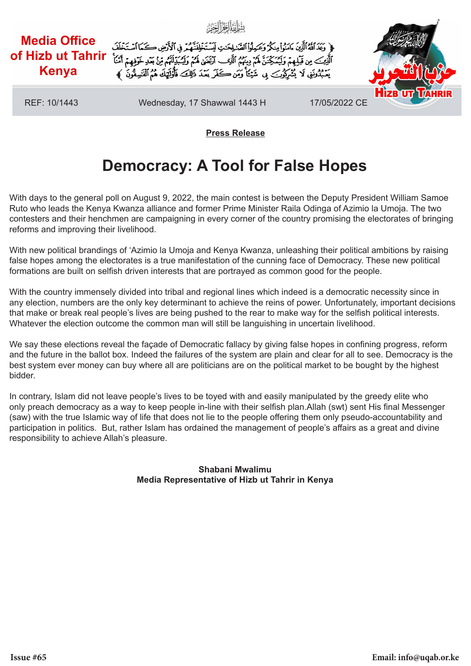

### **Press Release**

# **Democracy: A Tool for False Hopes**

With days to the general poll on August 9, 2022, the main contest is between the Deputy President William Samoe Ruto who leads the Kenya Kwanza alliance and former Prime Minister Raila Odinga of Azimio la Umoja. The two contesters and their henchmen are campaigning in every corner of the country promising the electorates of bringing reforms and improving their livelihood.

With new political brandings of 'Azimio la Umoja and Kenya Kwanza, unleashing their political ambitions by raising false hopes among the electorates is a true manifestation of the cunning face of Democracy. These new political formations are built on selfish driven interests that are portrayed as common good for the people.

With the country immensely divided into tribal and regional lines which indeed is a democratic necessity since in any election, numbers are the only key determinant to achieve the reins of power. Unfortunately, important decisions that make or break real people's lives are being pushed to the rear to make way for the selfish political interests. Whatever the election outcome the common man will still be languishing in uncertain livelihood.

We say these elections reveal the façade of Democratic fallacy by giving false hopes in confining progress, reform and the future in the ballot box. Indeed the failures of the system are plain and clear for all to see. Democracy is the best system ever money can buy where all are politicians are on the political market to be bought by the highest bidder.

In contrary, Islam did not leave people's lives to be toyed with and easily manipulated by the greedy elite who only preach democracy as a way to keep people in-line with their selfish plan.Allah (swt) sent His final Messenger (saw) with the true Islamic way of life that does not lie to the people offering them only pseudo-accountability and participation in politics. But, rather Islam has ordained the management of people's affairs as a great and divine responsibility to achieve Allah's pleasure.

> **Shabani Mwalimu Media Representative of Hizb ut Tahrir in Kenya**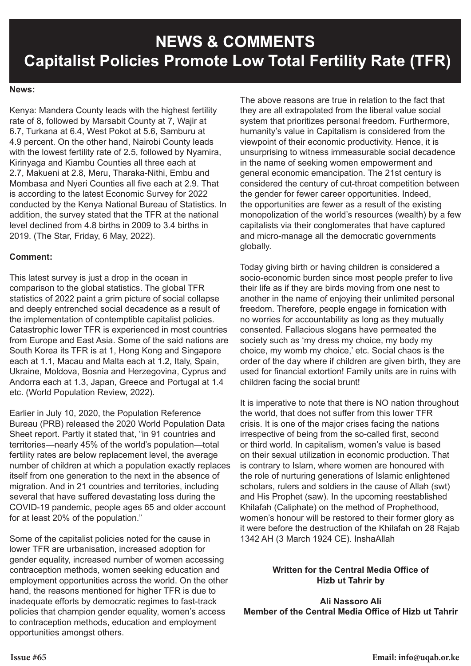# **NEWS & COMMENTS Capitalist Policies Promote Low Total Fertility Rate (TFR)**

### **News:**

Kenya: Mandera County leads with the highest fertility rate of 8, followed by Marsabit County at 7, Wajir at 6.7, Turkana at 6.4, West Pokot at 5.6, Samburu at 4.9 percent. On the other hand, Nairobi County leads with the lowest fertility rate of 2.5, followed by Nyamira, Kirinyaga and Kiambu Counties all three each at 2.7, Makueni at 2.8, Meru, Tharaka-Nithi, Embu and Mombasa and Nyeri Counties all five each at 2.9. That is according to the latest Economic Survey for 2022 conducted by the Kenya National Bureau of Statistics. In addition, the survey stated that the TFR at the national level declined from 4.8 births in 2009 to 3.4 births in 2019. (The Star, Friday, 6 May, 2022).

### **Comment:**

This latest survey is just a drop in the ocean in comparison to the global statistics. The global TFR statistics of 2022 paint a grim picture of social collapse and deeply entrenched social decadence as a result of the implementation of contemptible capitalist policies. Catastrophic lower TFR is experienced in most countries from Europe and East Asia. Some of the said nations are South Korea its TFR is at 1, Hong Kong and Singapore each at 1.1, Macau and Malta each at 1.2, Italy, Spain, Ukraine, Moldova, Bosnia and Herzegovina, Cyprus and Andorra each at 1.3, Japan, Greece and Portugal at 1.4 etc. (World Population Review, 2022).

Earlier in July 10, 2020, the Population Reference Bureau (PRB) released the 2020 World Population Data Sheet report. Partly it stated that, "in 91 countries and territories—nearly 45% of the world's population—total fertility rates are below replacement level, the average number of children at which a population exactly replaces itself from one generation to the next in the absence of migration. And in 21 countries and territories, including several that have suffered devastating loss during the COVID-19 pandemic, people ages 65 and older account for at least 20% of the population."

Some of the capitalist policies noted for the cause in lower TFR are urbanisation, increased adoption for gender equality, increased number of women accessing contraception methods, women seeking education and employment opportunities across the world. On the other hand, the reasons mentioned for higher TFR is due to inadequate efforts by democratic regimes to fast-track policies that champion gender equality, women's access to contraception methods, education and employment opportunities amongst others.

The above reasons are true in relation to the fact that they are all extrapolated from the liberal value social system that prioritizes personal freedom. Furthermore, humanity's value in Capitalism is considered from the viewpoint of their economic productivity. Hence, it is unsurprising to witness immeasurable social decadence in the name of seeking women empowerment and general economic emancipation. The 21st century is considered the century of cut-throat competition between the gender for fewer career opportunities. Indeed, the opportunities are fewer as a result of the existing monopolization of the world's resources (wealth) by a few capitalists via their conglomerates that have captured and micro-manage all the democratic governments globally.

Today giving birth or having children is considered a socio-economic burden since most people prefer to live their life as if they are birds moving from one nest to another in the name of enjoying their unlimited personal freedom. Therefore, people engage in fornication with no worries for accountability as long as they mutually consented. Fallacious slogans have permeated the society such as 'my dress my choice, my body my choice, my womb my choice,' etc. Social chaos is the order of the day where if children are given birth, they are used for financial extortion! Family units are in ruins with children facing the social brunt!

It is imperative to note that there is NO nation throughout the world, that does not suffer from this lower TFR crisis. It is one of the major crises facing the nations irrespective of being from the so-called first, second or third world. In capitalism, women's value is based on their sexual utilization in economic production. That is contrary to Islam, where women are honoured with the role of nurturing generations of Islamic enlightened scholars, rulers and soldiers in the cause of Allah (swt) and His Prophet (saw). In the upcoming reestablished Khilafah (Caliphate) on the method of Prophethood, women's honour will be restored to their former glory as it were before the destruction of the Khilafah on 28 Rajab 1342 AH (3 March 1924 CE). InshaAllah

### **Written for the Central Media Office of Hizb ut Tahrir by**

**Ali Nassoro Ali Member of the Central Media Office of Hizb ut Tahrir**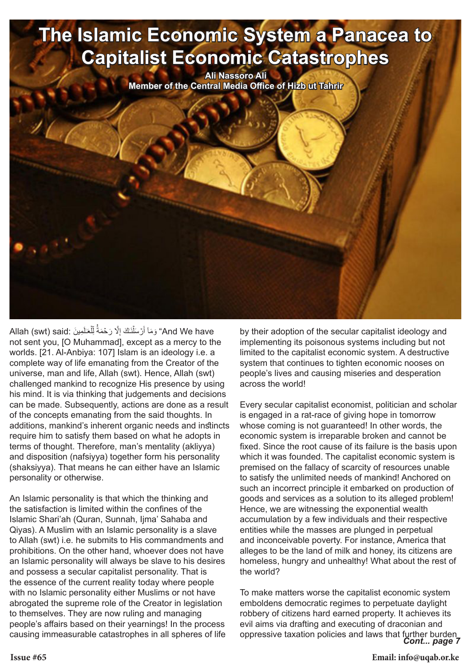# **The Islamic Economic System a Panacea to Capitalist Economic Catastrophes**

**Ali Nassoro Ali Member of the Central Media Office of Hizb ut Tahrir**

And We have" وَمَاۤ أَرۡسَلَٰٓنَـٰكَ إِلَّا رَحۡمَةُۚ لِّلۡعَـٰلَمِینَ :Allah (swt) said ֖֖֧֖֖֖֖֧֖֧֖֧֧֧֧֪֪֪֪֪֪֪֪֪֪֪֧֧֧֚֚֚֚֚֚֚֚֚֚֚֚֚֚֚֡֝֝֝֝֝֟֓֞֟֓֡֞֟֓֞֟֓֡֟֓֞֞֟֓֞֝֬֝֬֞֞֞֞֞֞֞֞֞֝֝֝֬֝֬֝֬<br>֧֧֪֪֪֪֪֪֪֪֪֪֪֪֪֪֪֪֪֪֪֜֝ ֧֖֖֖֚֚֚֚֚֚֚֚֚֚֝<br>֧֚֝<br>֧<u>֚</u> ِ not sent you, [O Muhammad], except as a mercy to the worlds. [21. Al-Anbiya: 107] Islam is an ideology i.e. a complete way of life emanating from the Creator of the universe, man and life, Allah (swt). Hence, Allah (swt) challenged mankind to recognize His presence by using his mind. It is via thinking that judgements and decisions can be made. Subsequently, actions are done as a result of the concepts emanating from the said thoughts. In additions, mankind's inherent organic needs and instincts require him to satisfy them based on what he adopts in terms of thought. Therefore, man's mentality (akliyya) and disposition (nafsiyya) together form his personality (shaksiyya). That means he can either have an Islamic personality or otherwise.

An Islamic personality is that which the thinking and the satisfaction is limited within the confines of the Islamic Shari'ah (Quran, Sunnah, Ijma' Sahaba and Qiyas). A Muslim with an Islamic personality is a slave to Allah (swt) i.e. he submits to His commandments and prohibitions. On the other hand, whoever does not have an Islamic personality will always be slave to his desires and possess a secular capitalist personality. That is the essence of the current reality today where people with no Islamic personality either Muslims or not have abrogated the supreme role of the Creator in legislation to themselves. They are now ruling and managing people's affairs based on their yearnings! In the process causing immeasurable catastrophes in all spheres of life by their adoption of the secular capitalist ideology and implementing its poisonous systems including but not limited to the capitalist economic system. A destructive system that continues to tighten economic nooses on people's lives and causing miseries and desperation across the world!

Every secular capitalist economist, politician and scholar is engaged in a rat-race of giving hope in tomorrow whose coming is not guaranteed! In other words, the economic system is irreparable broken and cannot be fixed. Since the root cause of its failure is the basis upon which it was founded. The capitalist economic system is premised on the fallacy of scarcity of resources unable to satisfy the unlimited needs of mankind! Anchored on such an incorrect principle it embarked on production of goods and services as a solution to its alleged problem! Hence, we are witnessing the exponential wealth accumulation by a few individuals and their respective entities while the masses are plunged in perpetual and inconceivable poverty. For instance, America that alleges to be the land of milk and honey, its citizens are homeless, hungry and unhealthy! What about the rest of the world?

*Cont... page 7* To make matters worse the capitalist economic system emboldens democratic regimes to perpetuate daylight robbery of citizens hard earned property. It achieves its evil aims via drafting and executing of draconian and oppressive taxation policies and laws that further burden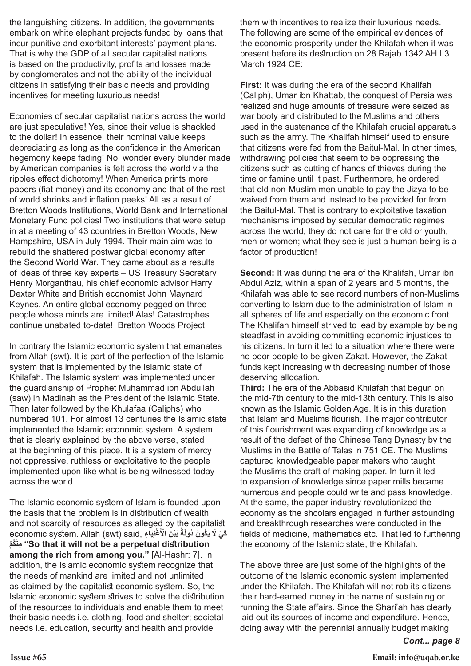the languishing citizens. In addition, the governments embark on white elephant projects funded by loans that incur punitive and exorbitant interests' payment plans. That is why the GDP of all secular capitalist nations is based on the productivity, profits and losses made by conglomerates and not the ability of the individual citizens in satisfying their basic needs and providing incentives for meeting luxurious needs!

Economies of secular capitalist nations across the world are just speculative! Yes, since their value is shackled to the dollar! In essence, their nominal value keeps depreciating as long as the confidence in the American hegemony keeps fading! No, wonder every blunder made by American companies is felt across the world via the ripples effect dichotomy! When America prints more papers (fiat money) and its economy and that of the rest of world shrinks and inflation peeks! All as a result of Bretton Woods Institutions, World Bank and International Monetary Fund policies! Two institutions that were setup in at a meeting of 43 countries in Bretton Woods, New Hampshire, USA in July 1994. Their main aim was to rebuild the shattered postwar global economy after the Second World War. They came about as a results of ideas of three key experts – US Treasury Secretary Henry Morganthau, his chief economic advisor Harry Dexter White and British economist John Maynard Keynes. An entire global economy pegged on three people whose minds are limited! Alas! Catastrophes continue unabated to-date! Bretton Woods Project

In contrary the Islamic economic system that emanates from Allah (swt). It is part of the perfection of the Islamic system that is implemented by the Islamic state of Khilafah. The Islamic system was implemented under the guardianship of Prophet Muhammad ibn Abdullah (saw) in Madinah as the President of the Islamic State. Then later followed by the Khulafaa (Caliphs) who numbered 101. For almost 13 centuries the Islamic state implemented the Islamic economic system. A system that is clearly explained by the above verse, stated at the beginning of this piece. It is a system of mercy not oppressive, ruthless or exploitative to the people implemented upon like what is being witnessed today across the world.

The Islamic economic system of Islam is founded upon the basis that the problem is in distribution of wealth and not scarcity of resources as alleged by the capitalist economic system. Allah (swt) said, **اءِ َ ِيَ ْغن َ ْي َن ْ ال ً ب َة َ ُك َون ُ دول َك ْي َ ل ي مْكُ نْ مِ" So that it will not be a perpetual distribution among the rich from among you."** [Al-Hashr: 7]. In addition, the Islamic economic system recognize that the needs of mankind are limited and not unlimited as claimed by the capitalist economic system. So, the Islamic economic system strives to solve the distribution of the resources to individuals and enable them to meet their basic needs i.e. clothing, food and shelter; societal needs i.e. education, security and health and provide

them with incentives to realize their luxurious needs. The following are some of the empirical evidences of the economic prosperity under the Khilafah when it was present before its destruction on 28 Rajab 1342 AH I 3 March 1924 CE:

**First:** It was during the era of the second Khalifah (Caliph), Umar ibn Khattab, the conquest of Persia was realized and huge amounts of treasure were seized as war booty and distributed to the Muslims and others used in the sustenance of the Khilafah crucial apparatus such as the army. The Khalifah himself used to ensure that citizens were fed from the Baitul-Mal. In other times, withdrawing policies that seem to be oppressing the citizens such as cutting of hands of thieves during the time or famine until it past. Furthermore, he ordered that old non-Muslim men unable to pay the Jizya to be waived from them and instead to be provided for from the Baitul-Mal. That is contrary to exploitative taxation mechanisms imposed by secular democratic regimes across the world, they do not care for the old or youth, men or women; what they see is just a human being is a factor of production!

**Second:** It was during the era of the Khalifah, Umar ibn Abdul Aziz, within a span of 2 years and 5 months, the Khilafah was able to see record numbers of non-Muslims converting to Islam due to the administration of Islam in all spheres of life and especially on the economic front. The Khalifah himself strived to lead by example by being steadfast in avoiding committing economic injustices to his citizens. In turn it led to a situation where there were no poor people to be given Zakat. However, the Zakat funds kept increasing with decreasing number of those deserving allocation.

**Third:** The era of the Abbasid Khilafah that begun on the mid-7th century to the mid-13th century. This is also known as the Islamic Golden Age. It is in this duration that Islam and Muslims flourish. The major contributor of this flourishment was expanding of knowledge as a result of the defeat of the Chinese Tang Dynasty by the Muslims in the Battle of Talas in 751 CE. The Muslims captured knowledgeable paper makers who taught the Muslims the craft of making paper. In turn it led to expansion of knowledge since paper mills became numerous and people could write and pass knowledge. At the same, the paper industry revolutionized the economy as the shcolars engaged in further astounding and breakthrough researches were conducted in the fields of medicine, mathematics etc. That led to furthering the economy of the Islamic state, the Khilafah.

The above three are just some of the highlights of the outcome of the Islamic economic system implemented under the Khilafah. The Khilafah will not rob its citizens their hard-earned money in the name of sustaining or running the State affairs. Since the Shari'ah has clearly laid out its sources of income and expenditure. Hence, doing away with the perennial annually budget making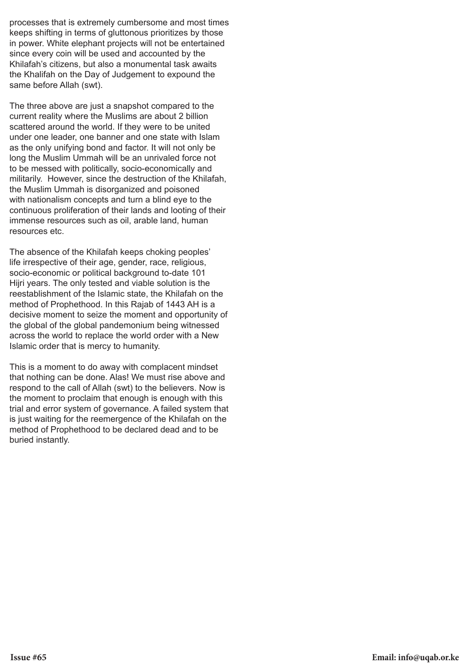processes that is extremely cumbersome and most times keeps shifting in terms of gluttonous prioritizes by those in power. White elephant projects will not be entertained since every coin will be used and accounted by the Khilafah's citizens, but also a monumental task awaits the Khalifah on the Day of Judgement to expound the same before Allah (swt).

The three above are just a snapshot compared to the current reality where the Muslims are about 2 billion scattered around the world. If they were to be united under one leader, one banner and one state with Islam as the only unifying bond and factor. It will not only be long the Muslim Ummah will be an unrivaled force not to be messed with politically, socio-economically and militarily. However, since the destruction of the Khilafah, the Muslim Ummah is disorganized and poisoned with nationalism concepts and turn a blind eye to the continuous proliferation of their lands and looting of their immense resources such as oil, arable land, human resources etc.

The absence of the Khilafah keeps choking peoples' life irrespective of their age, gender, race, religious, socio-economic or political background to-date 101 Hijri years. The only tested and viable solution is the reestablishment of the Islamic state, the Khilafah on the method of Prophethood. In this Rajab of 1443 AH is a decisive moment to seize the moment and opportunity of the global of the global pandemonium being witnessed across the world to replace the world order with a New Islamic order that is mercy to humanity.

This is a moment to do away with complacent mindset that nothing can be done. Alas! We must rise above and respond to the call of Allah (swt) to the believers. Now is the moment to proclaim that enough is enough with this trial and error system of governance. A failed system that is just waiting for the reemergence of the Khilafah on the method of Prophethood to be declared dead and to be buried instantly.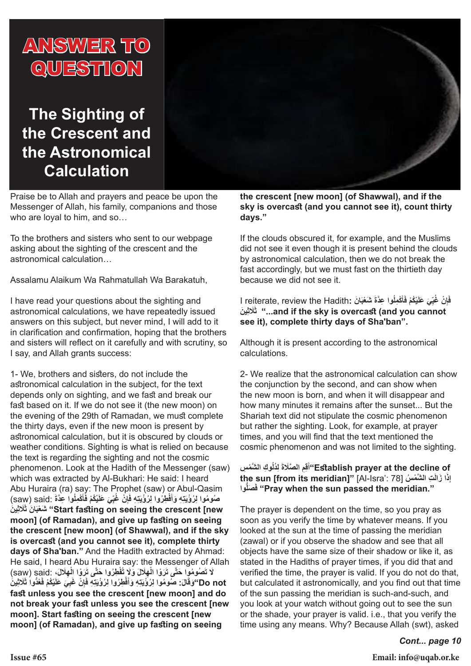

# **The Sighting of the Crescent and the Astronomical Calculation**

Praise be to Allah and prayers and peace be upon the Messenger of Allah, his family, companions and those who are loyal to him, and so…

To the brothers and sisters who sent to our webpage asking about the sighting of the crescent and the astronomical calculation…

Assalamu Alaikum Wa Rahmatullah Wa Barakatuh,

I have read your questions about the sighting and astronomical calculations, we have repeatedly issued answers on this subject, but never mind, I will add to it in clarification and confirmation, hoping that the brothers and sisters will reflect on it carefully and with scrutiny, so I say, and Allah grants success:

1- We, brothers and sisters, do not include the astronomical calculation in the subject, for the text depends only on sighting, and we fast and break our fast based on it. If we do not see it (the new moon) on the evening of the 29th of Ramadan, we must complete the thirty days, even if the new moon is present by astronomical calculation, but it is obscured by clouds or weather conditions. Sighting is what is relied on because the text is regarding the sighting and not the cosmic phenomenon. Look at the Hadith of the Messenger (saw) which was extracted by Al-Bukhari: He said: I heard Abu Huraira (ra) say: The Prophet (saw) or Abul-Qasim صُومُوا لِرُؤْيَتِهِ وَأَفْطِرُوا لِرُؤْيَتِهِ فَإِنْ غُبِّيَ عَلَيْكُمْ فَأَكْمِلُوا عِدَّةَ :saw) said( **َأ ّ َإ ِ َ ين ََلث َ َ ان ث عبْ شَ" Start fasting on seeing the crescent [new moon] (of Ramadan), and give up fasting on seeing the crescent [new moon] (of Shawwal), and if the sky is overcast (and you cannot see it), complete thirty days of Sha'ban."** And the Hadith extracted by Ahmad: He said, I heard Abu Huraira say: the Messenger of Allah **ْ**لَا تَصُومُوا حَتَّى تَرَوْا الْـهِلَالَ وَلَا تُفْطِرُوا حَتَّى تَرَوْا الْـهِلَالَ، ۚ said) (saw) **ْ**Do not"وَقَالَ: صُومُوا لِرُؤْيَنِّهِ وَأَفْطِرُوا لِرُؤْيَنِّهِ فَإِنْ غَبِيَ عَلَيْكُمْ فَغُدُّوا ثَلَاثِينَ **َإ fast unless you see the crescent [new moon] and do not break your fast unless you see the crescent [new moon]. Start fasting on seeing the crescent [new moon] (of Ramadan), and give up fasting on seeing** 

**the crescent [new moon] (of Shawwal), and if the sky is overcast (and you cannot see it), count thirty days."**

If the clouds obscured it, for example, and the Muslims did not see it even though it is present behind the clouds by astronomical calculation, then we do not break the fast accordingly, but we must fast on the thirtieth day because we did not see it.

فَإِنْ غُبِّيَ عَلَيْكُمْ فَأَكْمِلُوا عِدَّةَ شَعْبَانَ :I reiterate, review the Hadith **َأ ّ َإ ِ َ ين ََلث ث" ...and if the sky is overcast (and you cannot see it), complete thirty days of Sha'ban".**

Although it is present according to the astronomical calculations.

2- We realize that the astronomical calculation can show the conjunction by the second, and can show when the new moon is born, and when it will disappear and how many minutes it remains after the sunset... But the Shariah text did not stipulate the cosmic phenomenon but rather the sighting. Look, for example, at prayer times, and you will find that the text mentioned the cosmic phenomenon and was not limited to the sighting.

**ُ ِوك َّ الش ْم ِس َ ِ ل ُدل ِِم َّ الصَلة َق أ"Establish prayer at the decline of the sun [from its meridian]"** [Al-Isra': 78] **سُ مْ الش َّ تِ َ َ َ ا زال ِذ إ ُّوا َ َصل ف" Pray when the sun passed the meridian."**

The prayer is dependent on the time, so you pray as soon as you verify the time by whatever means. If you looked at the sun at the time of passing the meridian (zawal) or if you observe the shadow and see that all objects have the same size of their shadow or like it, as stated in the Hadiths of prayer times, if you did that and verified the time, the prayer is valid. If you do not do that, but calculated it astronomically, and you find out that time of the sun passing the meridian is such-and-such, and you look at your watch without going out to see the sun or the shade, your prayer is valid. i.e., that you verify the time using any means. Why? Because Allah (swt), asked

*Cont... page 10*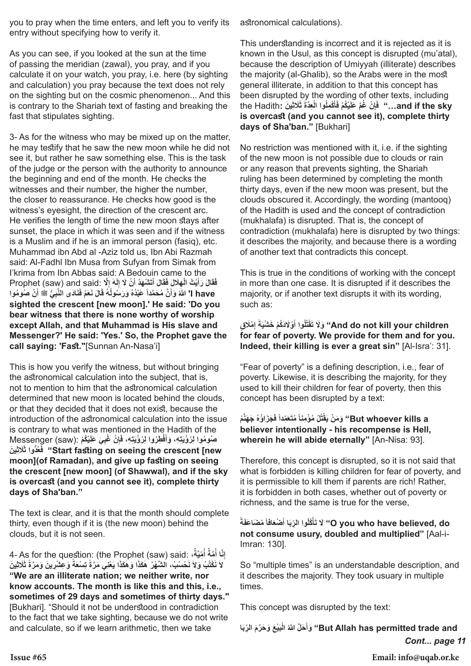you to pray when the time enters, and left you to verify its entry without specifying how to verify it.

As you can see, if you looked at the sun at the time of passing the meridian (zawal), you pray, and if you calculate it on your watch, you pray, i.e. here (by sighting and calculation) you pray because the text does not rely on the sighting but on the cosmic phenomenon... And this is contrary to the Shariah text of fasting and breaking the fast that stipulates sighting.

3- As for the witness who may be mixed up on the matter, he may testify that he saw the new moon while he did not see it, but rather he saw something else. This is the task of the judge or the person with the authority to announce the beginning and end of the month. He checks the witnesses and their number, the higher the number, the closer to reassurance. He checks how good is the witness's eyesight, the direction of the crescent arc. He verifies the length of time the new moon stays after sunset, the place in which it was seen and if the witness is a Muslim and if he is an immoral person (fasiq), etc. Muhammad ibn Abd al -Aziz told us, Ibn Abi Razmah said: Al-Fadhl Ibn Musa from Sufyan from Simak from I'krima from Ibn Abbas said: A Bedouin came to the فَثَالَ رَأَيْتُ الْهِلَالَ فَقَالَ أَتَشْهَدُ أَنْ لَا إِلَهَ إِلَّا Brophet (saw) and said: لَا Prophet **َْ** have '' اللَّهُ وَأَنَّ مُحَمَّداً عَبْدُهُ وَرَسُولُهُ قَالَ نَعَمْ فَنَادَى النَّبِيُّ ﷺ أَنْ صُومُوا **sighted the crescent [new moon].' He said: 'Do you bear witness that there is none worthy of worship except Allah, and that Muhammad is His slave and Messenger?' He said: 'Yes.' So, the Prophet gave the call saying: 'Fast."**[Sunnan An-Nasa'i]

This is how you verify the witness, but without bringing the astronomical calculation into the subject, that is, not to mention to him that the astronomical calculation determined that new moon is located behind the clouds, or that they decided that it does not exist, because the introduction of the astronomical calculation into the issue is contrary to what was mentioned in the Hadith of the صُومُوا لِرُؤْيَتِهِ، وَأَفْطِرُوا لِرُؤْيَتِهِ، فَإِنْ غُبِيَ عَلَيْكُمْ :(Messenger (saw **َإ ِ َ ين ََلث ُ ُّدوا ث َع ف" Start fasting on seeing the crescent [new moon](of Ramadan), and give up fasting on seeing the crescent [new moon] (of Shawwal), and if the sky is overcast (and you cannot see it), complete thirty days of Sha'ban."**

The text is clear, and it is that the month should complete thirty, even though if it is (the new moon) behind the clouds, but it is not seen.

4- As for the question: (the Prophet (saw) said: **،ٌ َّة ُ ِّمي ٌ أ َّمة َّا أ ِن إ ُ** لاَ نَكْتُبُ وَلاَ نَحْسُبُ، الشَّهْرُ هَكَذَا وَهَكَذَا يَعْنِي مَرَّةً تِسْعَةً وَعِشْرِينَ وَمَرَّةً ثَلَاثِينَ **ًَ"We are an illiterate nation; we neither write, nor know accounts. The month is like this and this, i.e., sometimes of 29 days and sometimes of thirty days."** [Bukhari]. "Should it not be understood in contradiction to the fact that we take sighting, because we do not write and calculate, so if we learn arithmetic, then we take

astronomical calculations).

This understanding is incorrect and it is rejected as it is known in the Usul, as this concept is disrupted (mu'atal), because the description of Umiyyah (illiterate) describes the majority (al-Ghalib), so the Arabs were in the most general illiterate, in addition to that this concept has been disrupted by the wording of other texts, including and if the sky…" ۚ فَإِنْ غُمَّ عَلَيْكُمْ فَأَكْمِلُوا الْعِدَّةَ ثَلَاثِينَ :the Hadith **َأ َإ is overcast (and you cannot see it), complete thirty days of Sha'ban."** [Bukhari]

No restriction was mentioned with it, i.e. if the sighting of the new moon is not possible due to clouds or rain or any reason that prevents sighting, the Shariah ruling has been determined by completing the month thirty days, even if the new moon was present, but the clouds obscured it. Accordingly, the wording (mantooq) of the Hadith is used and the concept of contradiction (mukhalafa) is disrupted. That is, the concept of contradiction (mukhalafa) here is disrupted by two things: it describes the majority, and because there is a wording of another text that contradicts this concept.

This is true in the conditions of working with the concept in more than one case. It is disrupted if it describes the majority, or if another text disrupts it with its wording, such as:

### **ِ ْم َل ٍق َ إ َة ْوَل َدُكْم َ خ ْشي ُوا أ ُل َ ْقت ت لَوَ" And do not kill your children َ for fear of poverty. We provide for them and for you. Indeed, their killing is ever a great sin"** [Al-Isra': 31].

"Fear of poverty" is a defining description, i.e., fear of poverty. Likewise, it is describing the majority, for they used to kill their children for fear of poverty, then this concept has been disrupted by a text:

### But whoever kills a'' وَمَنْ يَقْتُلْ مُؤْمِناً مُتَعَمِّداً فَجَزَاؤُهُ جَهَنَّمُ **believer intentionally - his recompense is Hell, wherein he will abide eternally"** [An-Nisa: 93].

Therefore, this concept is disrupted, so it is not said that what is forbidden is killing children for fear of poverty, and it is permissible to kill them if parents are rich! Rather, it is forbidden in both cases, whether out of poverty or richness, and the same is true for the verse,

**ً َة َافاً ُ م َضاعَف َ ْضع َا أ ُ ِّ وا الرب ْ ُكل َأ ت لَ" O you who have believed, do not consume usury, doubled and multiplied"** [Aal-i-Imran: 130].

So "multiple times" is an understandable description, and it describes the majority. They took usuary in multiple times.

This concept was disrupted by the text:

*Cont... page 11* **َا َ ْي َع َ و َح َّر َم ِّ الرب ْب ُ ال َ َح َّل َّ للا وأَ" But Allah has permitted trade and** 

**Issue #65 Email: info@uqab.or.ke**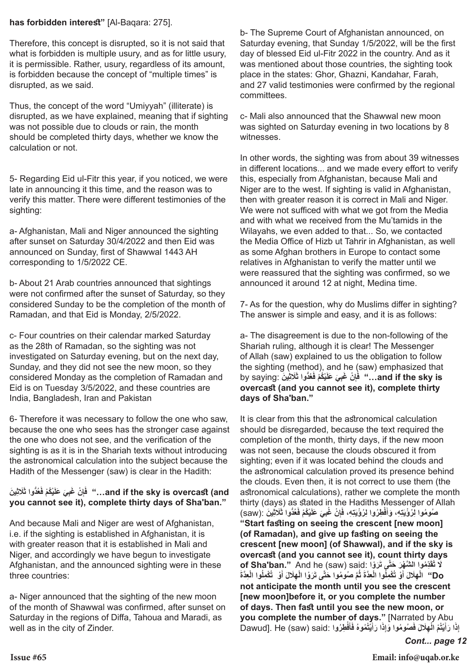### **has forbidden interest"** [Al-Baqara: 275].

Therefore, this concept is disrupted, so it is not said that what is forbidden is multiple usury, and as for little usury, it is permissible. Rather, usury, regardless of its amount, is forbidden because the concept of "multiple times" is disrupted, as we said.

Thus, the concept of the word "Umiyyah" (illiterate) is disrupted, as we have explained, meaning that if sighting was not possible due to clouds or rain, the month should be completed thirty days, whether we know the calculation or not.

5- Regarding Eid ul-Fitr this year, if you noticed, we were late in announcing it this time, and the reason was to verify this matter. There were different testimonies of the sighting:

a- Afghanistan, Mali and Niger announced the sighting after sunset on Saturday 30/4/2022 and then Eid was announced on Sunday, first of Shawwal 1443 AH corresponding to 1/5/2022 CE.

b- About 21 Arab countries announced that sightings were not confirmed after the sunset of Saturday, so they considered Sunday to be the completion of the month of Ramadan, and that Eid is Monday, 2/5/2022.

c- Four countries on their calendar marked Saturday as the 28th of Ramadan, so the sighting was not investigated on Saturday evening, but on the next day, Sunday, and they did not see the new moon, so they considered Monday as the completion of Ramadan and Eid is on Tuesday 3/5/2022, and these countries are India, Bangladesh, Iran and Pakistan

6- Therefore it was necessary to follow the one who saw, because the one who sees has the stronger case against the one who does not see, and the verification of the sighting is as it is in the Shariah texts without introducing the astronomical calculation into the subject because the Hadith of the Messenger (saw) is clear in the Hadith:

### and if the sky is overcast (and..." فَإِنْ غَبِيَ عَلَيْكُمْ فَغُدُّوا ثَلَاثِينَ **َإ you cannot see it), complete thirty days of Sha'ban."**

And because Mali and Niger are west of Afghanistan, i.e. if the sighting is established in Afghanistan, it is with greater reason that it is established in Mali and Niger, and accordingly we have begun to investigate Afghanistan, and the announced sighting were in these three countries:

a- Niger announced that the sighting of the new moon of the month of Shawwal was confirmed, after sunset on Saturday in the regions of Diffa, Tahoua and Maradi, as well as in the city of Zinder.

b- The Supreme Court of Afghanistan announced, on Saturday evening, that Sunday 1/5/2022, will be the first day of blessed Eid ul-Fitr 2022 in the country. And as it was mentioned about those countries, the sighting took place in the states: Ghor, Ghazni, Kandahar, Farah, and 27 valid testimonies were confirmed by the regional committees.

c- Mali also announced that the Shawwal new moon was sighted on Saturday evening in two locations by 8 witnesses.

In other words, the sighting was from about 39 witnesses in different locations... and we made every effort to verify this, especially from Afghanistan, because Mali and Niger are to the west. If sighting is valid in Afghanistan, then with greater reason it is correct in Mali and Niger. We were not sufficed with what we got from the Media and with what we received from the Mu'tamids in the Wilayahs, we even added to that... So, we contacted the Media Office of Hizb ut Tahrir in Afghanistan, as well as some Afghan brothers in Europe to contact some relatives in Afghanistan to verify the matter until we were reassured that the sighting was confirmed, so we announced it around 12 at night, Medina time.

7- As for the question, why do Muslims differ in sighting? The answer is simple and easy, and it is as follows:

a- The disagreement is due to the non-following of the Shariah ruling, although it is clear! The Messenger of Allah (saw) explained to us the obligation to follow the sighting (method), and he (saw) emphasized that by saying: **ين َ ِ ََلثُ ُّدوا ث َع َ ْي ُكْم ف ِ َي عَل ِ ْن َ غب ف..." and if the sky is َإ overcast (and you cannot see it), complete thirty days of Sha'ban."**

It is clear from this that the astronomical calculation should be disregarded, because the text required the completion of the month, thirty days, if the new moon was not seen, because the clouds obscured it from sighting; even if it was located behind the clouds and the astronomical calculation proved its presence behind the clouds. Even then, it is not correct to use them (the astronomical calculations), rather we complete the month thirty (days) as stated in the Hadiths Messenger of Allah صُومُوا لِرُوْْيَتِهِ، وَأَفْطِرُوا لِرُوْْيَتِهِ، فَإِنْ غُبِيَ عَلَيْكُمْ فَغُدُّوا ثَلَاثِينَ :(saw) **َإ "Start fasting on seeing the crescent [new moon] (of Ramadan), and give up fasting on seeing the crescent [new moon] (of Shawwal), and if the sky is overcast (and you cannot see it), count thirty days of Sha'ban."** And he (saw) said: **واْ رَ َ َّى ت َ ِّد ُم َّ وا الش ْه َر َ حت ُق َل ت َ** Do'' الْمِلَالَ أَوْ تُكْمِلُوا الْعِدَّةُ ثُمَّ صُومُوا حَتَّى تَرَوْا الْمِلَالَ أَوْ ۚ تُكْمِلُوا الْعِذَّة **َ ُْ َ ْnot anticipate the month until you see the crescent [new moon]before it, or you complete the number of days. Then fast until you see the new moon, or you complete the number of days."** [Narrated by Abu إِذَا رَأَيْتُمْ الْهِلَالَ فَصُومُوا وَإِذَا رَأَيْتُمُوهُ فَأَفْطِرُوا :Dawud]. He (saw) said **َأ َ َْ َ**

*Cont... page 12*